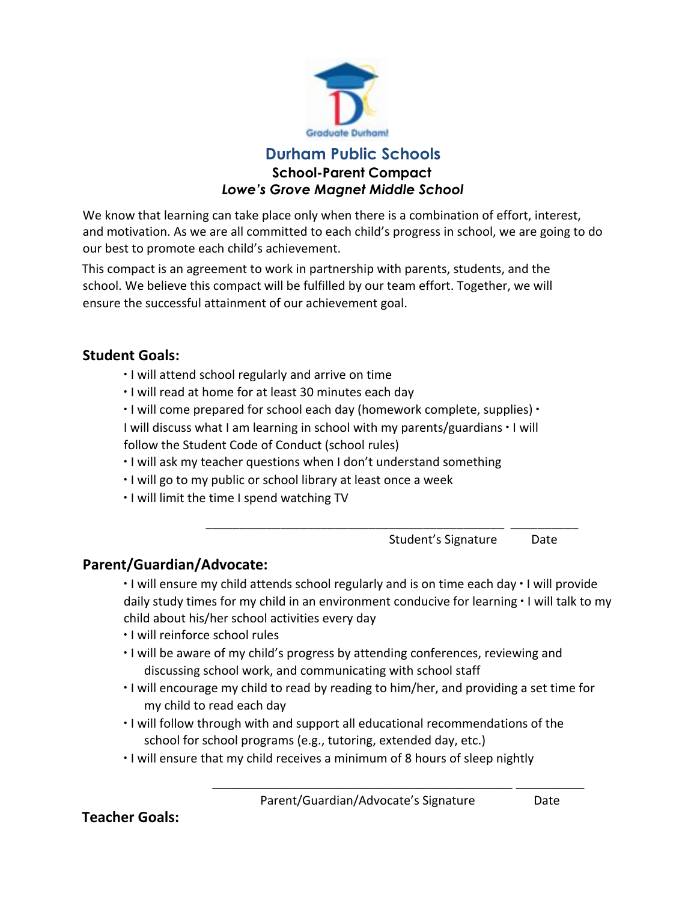

# **Durham Public Schools School-Parent Compact** *Lowe's Grove Magnet Middle School*

We know that learning can take place only when there is a combination of effort, interest, and motivation. As we are all committed to each child's progress in school, we are going to do our best to promote each child's achievement.

This compact is an agreement to work in partnership with parents, students, and the school. We believe this compact will be fulfilled by our team effort. Together, we will ensure the successful attainment of our achievement goal.

## **Student Goals:**

- ∙ I will attend school regularly and arrive on time
- ∙ I will read at home for at least 30 minutes each day
- ∙ I will come prepared for school each day (homework complete, supplies) ∙
- I will discuss what I am learning in school with my parents/guardians ∙ I will follow the Student Code of Conduct (school rules)
- ∙ I will ask my teacher questions when I don't understand something
- ∙ I will go to my public or school library at least once a week
- ∙ I will limit the time I spend watching TV

Student's Signature Date

## **Parent/Guardian/Advocate:**

∙ I will ensure my child attends school regularly and is on time each day ∙ I will provide daily study times for my child in an environment conducive for learning ∙ I will talk to my child about his/her school activities every day

\_\_\_\_\_\_\_\_\_\_\_\_\_\_\_\_\_\_\_\_\_\_\_\_\_\_\_\_\_\_\_\_\_\_\_\_\_\_\_\_\_\_\_\_ \_\_\_\_\_\_\_\_\_\_

- ∙ I will reinforce school rules
- ∙ I will be aware of my child's progress by attending conferences, reviewing and discussing school work, and communicating with school staff
- ∙ I will encourage my child to read by reading to him/her, and providing a set time for my child to read each day
- ∙ I will follow through with and support all educational recommendations of the school for school programs (e.g., tutoring, extended day, etc.)
- ∙ I will ensure that my child receives a minimum of 8 hours of sleep nightly

Parent/Guardian/Advocate's Signature Date

\_\_\_\_\_\_\_\_\_\_\_\_\_\_\_\_\_\_\_\_\_\_\_\_\_\_\_\_\_\_\_\_\_\_\_\_\_\_\_\_\_\_\_\_ \_\_\_\_\_\_\_\_\_\_

**Teacher Goals:**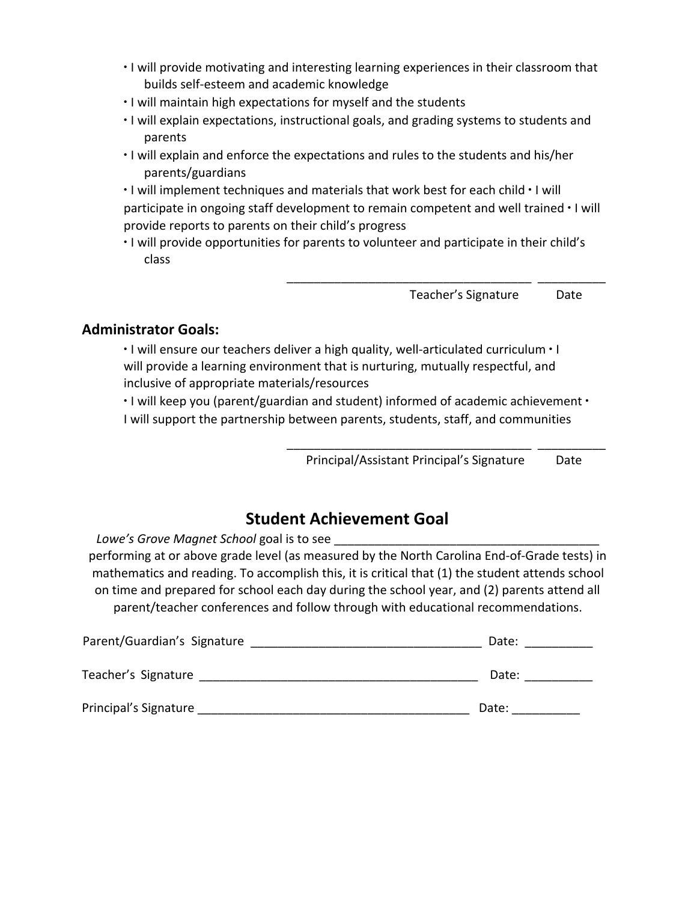- ∙ I will provide motivating and interesting learning experiences in their classroom that builds self-esteem and academic knowledge
- ∙ I will maintain high expectations for myself and the students
- ∙ I will explain expectations, instructional goals, and grading systems to students and parents
- ∙ I will explain and enforce the expectations and rules to the students and his/her parents/guardians

∙ I will implement techniques and materials that work best for each child ∙ I will participate in ongoing staff development to remain competent and well trained ∙ I will provide reports to parents on their child's progress

∙ I will provide opportunities for parents to volunteer and participate in their child's class

Teacher's Signature Date

## **Administrator Goals:**

∙ I will ensure our teachers deliver a high quality, well-articulated curriculum ∙ I will provide a learning environment that is nurturing, mutually respectful, and inclusive of appropriate materials/resources

∙ I will keep you (parent/guardian and student) informed of academic achievement ∙ I will support the partnership between parents, students, staff, and communities

> \_\_\_\_\_\_\_\_\_\_\_\_\_\_\_\_\_\_\_\_\_\_\_\_\_\_\_\_\_\_\_\_\_\_\_\_ \_\_\_\_\_\_\_\_\_\_ Principal/Assistant Principal's Signature Date

> \_\_\_\_\_\_\_\_\_\_\_\_\_\_\_\_\_\_\_\_\_\_\_\_\_\_\_\_\_\_\_\_\_\_\_\_ \_\_\_\_\_\_\_\_\_\_

# **Student Achievement Goal**

Lowe's Grove Magnet School goal is to see performing at or above grade level (as measured by the North Carolina End-of-Grade tests) in mathematics and reading. To accomplish this, it is critical that (1) the student attends school on time and prepared for school each day during the school year, and (2) parents attend all parent/teacher conferences and follow through with educational recommendations.

| Parent/Guardian's Signature | Date: |
|-----------------------------|-------|
| Teacher's Signature         | Date: |
| Principal's Signature       | Date: |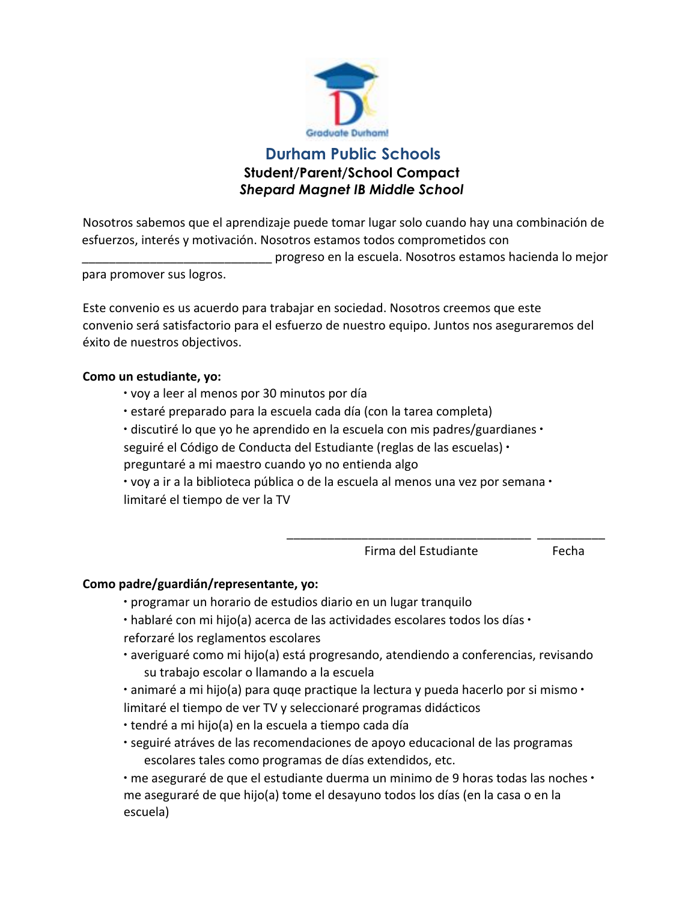

# **Durham Public Schools Student/Parent/School Compact** *Shepard Magnet IB Middle School*

Nosotros sabemos que el aprendizaje puede tomar lugar solo cuando hay una combinación de esfuerzos, interés y motivación. Nosotros estamos todos comprometidos con

\_\_\_\_\_\_\_\_\_\_\_\_\_\_\_\_\_\_\_\_\_\_\_\_\_\_\_\_ progreso en la escuela. Nosotros estamos hacienda lo mejor

para promover sus logros.

Este convenio es us acuerdo para trabajar en sociedad. Nosotros creemos que este convenio será satisfactorio para el esfuerzo de nuestro equipo. Juntos nos aseguraremos del éxito de nuestros objectivos.

### **Como un estudiante, yo:**

- ∙ voy a leer al menos por 30 minutos por día
- ∙ estaré preparado para la escuela cada día (con la tarea completa)
- ∙ discutiré lo que yo he aprendido en la escuela con mis padres/guardianes ∙
- seguiré el Código de Conducta del Estudiante (reglas de las escuelas) ∙ preguntaré a mi maestro cuando yo no entienda algo
- ∙ voy a ir a la biblioteca pública o de la escuela al menos una vez por semana ∙ limitaré el tiempo de ver la TV

Firma del Estudiante Fecha

\_\_\_\_\_\_\_\_\_\_\_\_\_\_\_\_\_\_\_\_\_\_\_\_\_\_\_\_\_\_\_\_\_\_\_\_ \_\_\_\_\_\_\_\_\_\_

## **Como padre/guardián/representante, yo:**

- ∙ programar un horario de estudios diario en un lugar tranquilo
- ∙ hablaré con mi hijo(a) acerca de las actividades escolares todos los días ∙
- reforzaré los reglamentos escolares
- ∙ averiguaré como mi hijo(a) está progresando, atendiendo a conferencias, revisando su trabajo escolar o llamando a la escuela
- ∙ animaré a mi hijo(a) para quqe practique la lectura y pueda hacerlo por si mismo ∙ limitaré el tiempo de ver TV y seleccionaré programas didácticos
- ∙ tendré a mi hijo(a) en la escuela a tiempo cada día
- ∙ seguiré atráves de las recomendaciones de apoyo educacional de las programas escolares tales como programas de días extendidos, etc.

∙ me aseguraré de que el estudiante duerma un minimo de 9 horas todas las noches ∙ me aseguraré de que hijo(a) tome el desayuno todos los días (en la casa o en la escuela)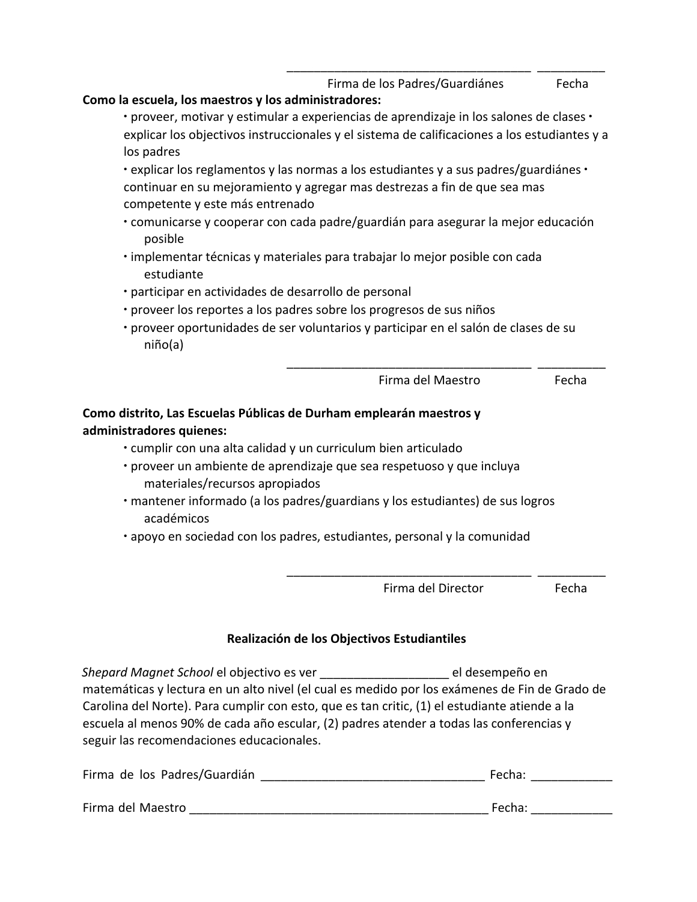| Como la escuela, los maestros y los administradores:                                                                                                                                                  |  |
|-------------------------------------------------------------------------------------------------------------------------------------------------------------------------------------------------------|--|
| • proveer, motivar y estimular a experiencias de aprendizaje in los salones de clases •<br>explicar los objectivos instruccionales y el sistema de calificaciones a los estudiantes y a<br>los padres |  |
| • explicar los reglamentos y las normas a los estudiantes y a sus padres/guardiánes •<br>continuar en su mejoramiento y agregar mas destrezas a fin de que sea mas<br>competente y este más entrenado |  |
| • comunicarse y cooperar con cada padre/guardián para asegurar la mejor educación<br>posible                                                                                                          |  |
| · implementar técnicas y materiales para trabajar lo mejor posible con cada<br>estudiante                                                                                                             |  |
| · participar en actividades de desarrollo de personal                                                                                                                                                 |  |
| · proveer los reportes a los padres sobre los progresos de sus niños                                                                                                                                  |  |
| · proveer oportunidades de ser voluntarios y participar en el salón de clases de su<br>$ni\tilde{p}$ o(a)                                                                                             |  |
| Firma del Maestro<br>Fecha                                                                                                                                                                            |  |
| Como distrito, Las Escuelas Públicas de Durham emplearán maestros y<br>administradores quienes:                                                                                                       |  |

- ∙ cumplir con una alta calidad y un curriculum bien articulado
- ∙ proveer un ambiente de aprendizaje que sea respetuoso y que incluya materiales/recursos apropiados
- ∙ mantener informado (a los padres/guardians y los estudiantes) de sus logros académicos
- ∙ apoyo en sociedad con los padres, estudiantes, personal y la comunidad

Firma del Director Fecha

\_\_\_\_\_\_\_\_\_\_\_\_\_\_\_\_\_\_\_\_\_\_\_\_\_\_\_\_\_\_\_\_\_\_\_\_ \_\_\_\_\_\_\_\_\_\_

\_\_\_\_\_\_\_\_\_\_\_\_\_\_\_\_\_\_\_\_\_\_\_\_\_\_\_\_\_\_\_\_\_\_\_\_ \_\_\_\_\_\_\_\_\_\_ Firma de los Padres/Guardiánes Fecha

## **Realización de los Objectivos Estudiantiles**

*Shepard Magnet School* el objectivo es ver \_\_\_\_\_\_\_\_\_\_\_\_\_\_\_\_\_\_\_ el desempeño en matemáticas y lectura en un alto nivel (el cual es medido por los exámenes de Fin de Grado de Carolina del Norte). Para cumplir con esto, que es tan critic, (1) el estudiante atiende a la escuela al menos 90% de cada año escular, (2) padres atender a todas las conferencias y seguir las recomendaciones educacionales.

| Firma de los Padres/Guardián | Fecha: |
|------------------------------|--------|
|                              |        |
| Firma del Maestro            | Fecha: |